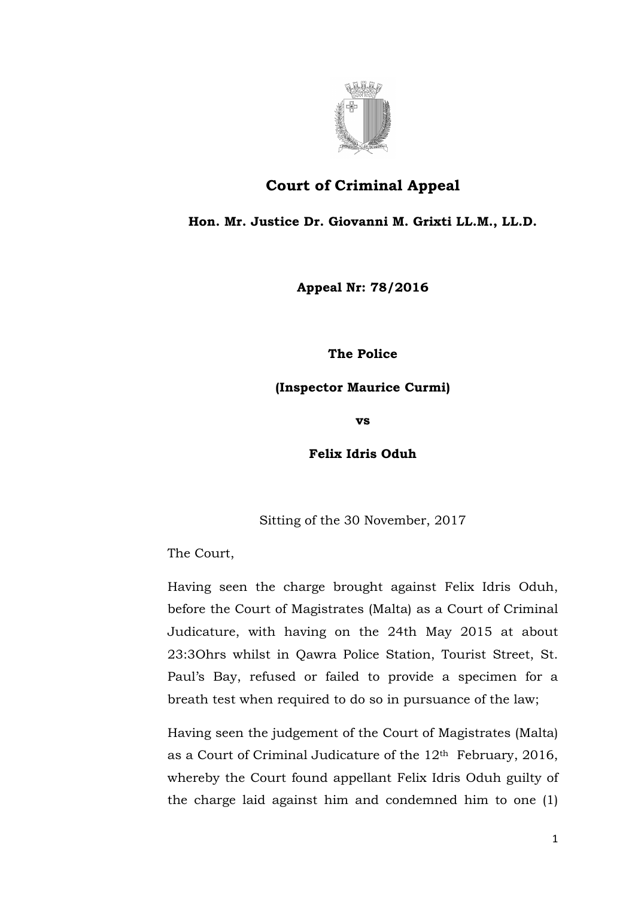

## **Court of Criminal Appeal**

**Hon. Mr. Justice Dr. Giovanni M. Grixti LL.M., LL.D.**

**Appeal Nr: 78/2016**

**The Police**

**(Inspector Maurice Curmi)**

**vs**

**Felix Idris Oduh**

Sitting of the 30 November, 2017

The Court,

Having seen the charge brought against Felix Idris Oduh, before the Court of Magistrates (Malta) as a Court of Criminal Judicature, with having on the 24th May 2015 at about 23:3Ohrs whilst in Qawra Police Station, Tourist Street, St. Paul's Bay, refused or failed to provide a specimen for a breath test when required to do so in pursuance of the law;

Having seen the judgement of the Court of Magistrates (Malta) as a Court of Criminal Judicature of the 12th February, 2016, whereby the Court found appellant Felix Idris Oduh guilty of the charge laid against him and condemned him to one (1)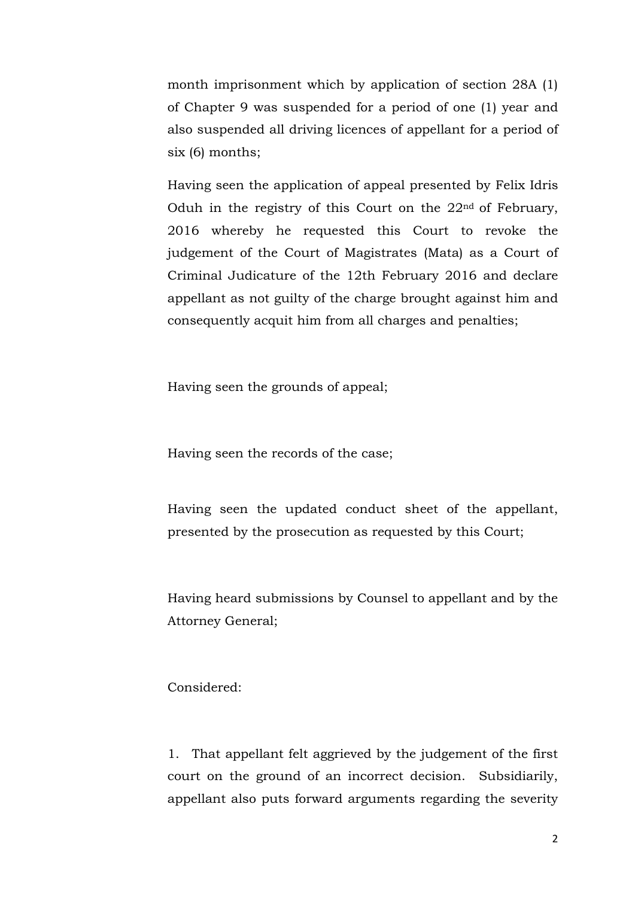month imprisonment which by application of section 28A (1) of Chapter 9 was suspended for a period of one (1) year and also suspended all driving licences of appellant for a period of six (6) months;

Having seen the application of appeal presented by Felix Idris Oduh in the registry of this Court on the 22nd of February, 2016 whereby he requested this Court to revoke the judgement of the Court of Magistrates (Mata) as a Court of Criminal Judicature of the 12th February 2016 and declare appellant as not guilty of the charge brought against him and consequently acquit him from all charges and penalties;

Having seen the grounds of appeal;

Having seen the records of the case;

Having seen the updated conduct sheet of the appellant, presented by the prosecution as requested by this Court;

Having heard submissions by Counsel to appellant and by the Attorney General;

Considered:

1. That appellant felt aggrieved by the judgement of the first court on the ground of an incorrect decision. Subsidiarily, appellant also puts forward arguments regarding the severity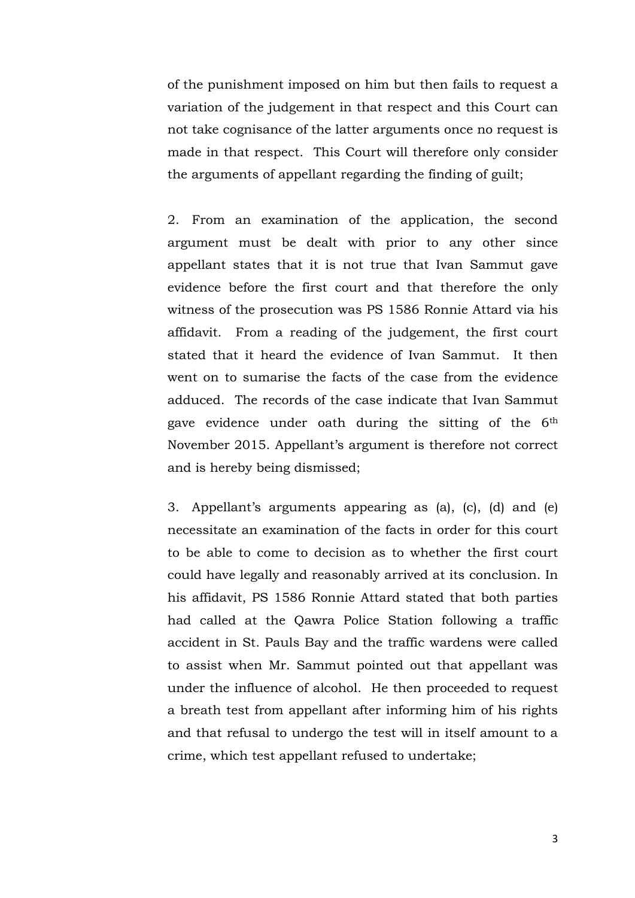of the punishment imposed on him but then fails to request a variation of the judgement in that respect and this Court can not take cognisance of the latter arguments once no request is made in that respect. This Court will therefore only consider the arguments of appellant regarding the finding of guilt;

2. From an examination of the application, the second argument must be dealt with prior to any other since appellant states that it is not true that Ivan Sammut gave evidence before the first court and that therefore the only witness of the prosecution was PS 1586 Ronnie Attard via his affidavit. From a reading of the judgement, the first court stated that it heard the evidence of Ivan Sammut. It then went on to sumarise the facts of the case from the evidence adduced. The records of the case indicate that Ivan Sammut gave evidence under oath during the sitting of the 6th November 2015. Appellant's argument is therefore not correct and is hereby being dismissed;

3. Appellant's arguments appearing as (a), (c), (d) and (e) necessitate an examination of the facts in order for this court to be able to come to decision as to whether the first court could have legally and reasonably arrived at its conclusion. In his affidavit, PS 1586 Ronnie Attard stated that both parties had called at the Qawra Police Station following a traffic accident in St. Pauls Bay and the traffic wardens were called to assist when Mr. Sammut pointed out that appellant was under the influence of alcohol. He then proceeded to request a breath test from appellant after informing him of his rights and that refusal to undergo the test will in itself amount to a crime, which test appellant refused to undertake;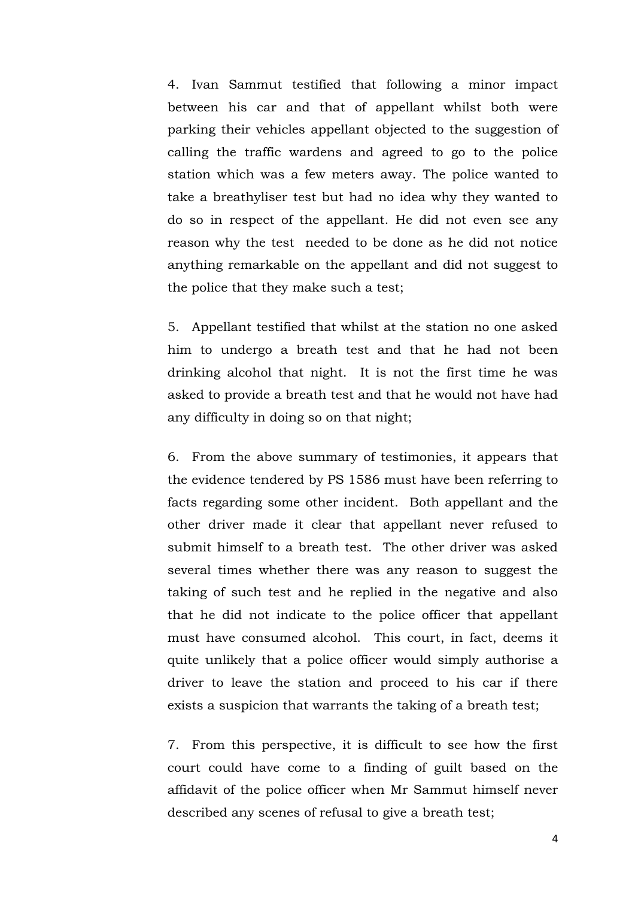4. Ivan Sammut testified that following a minor impact between his car and that of appellant whilst both were parking their vehicles appellant objected to the suggestion of calling the traffic wardens and agreed to go to the police station which was a few meters away. The police wanted to take a breathyliser test but had no idea why they wanted to do so in respect of the appellant. He did not even see any reason why the test needed to be done as he did not notice anything remarkable on the appellant and did not suggest to the police that they make such a test;

5. Appellant testified that whilst at the station no one asked him to undergo a breath test and that he had not been drinking alcohol that night. It is not the first time he was asked to provide a breath test and that he would not have had any difficulty in doing so on that night;

6. From the above summary of testimonies, it appears that the evidence tendered by PS 1586 must have been referring to facts regarding some other incident. Both appellant and the other driver made it clear that appellant never refused to submit himself to a breath test. The other driver was asked several times whether there was any reason to suggest the taking of such test and he replied in the negative and also that he did not indicate to the police officer that appellant must have consumed alcohol. This court, in fact, deems it quite unlikely that a police officer would simply authorise a driver to leave the station and proceed to his car if there exists a suspicion that warrants the taking of a breath test;

7. From this perspective, it is difficult to see how the first court could have come to a finding of guilt based on the affidavit of the police officer when Mr Sammut himself never described any scenes of refusal to give a breath test;